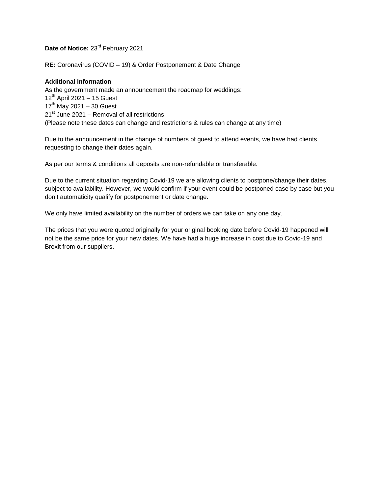Date of Notice: 23<sup>rd</sup> February 2021

**RE:** Coronavirus (COVID – 19) & Order Postponement & Date Change

## **Additional Information**

As the government made an announcement the roadmap for weddings: 12<sup>th</sup> April 2021 - 15 Guest 17<sup>th</sup> May 2021 - 30 Guest 21<sup>st</sup> June 2021 – Removal of all restrictions (Please note these dates can change and restrictions & rules can change at any time)

Due to the announcement in the change of numbers of guest to attend events, we have had clients requesting to change their dates again.

As per our terms & conditions all deposits are non-refundable or transferable.

Due to the current situation regarding Covid-19 we are allowing clients to postpone/change their dates, subject to availability. However, we would confirm if your event could be postponed case by case but you don't automaticity qualify for postponement or date change.

We only have limited availability on the number of orders we can take on any one day.

The prices that you were quoted originally for your original booking date before Covid-19 happened will not be the same price for your new dates. We have had a huge increase in cost due to Covid-19 and Brexit from our suppliers.